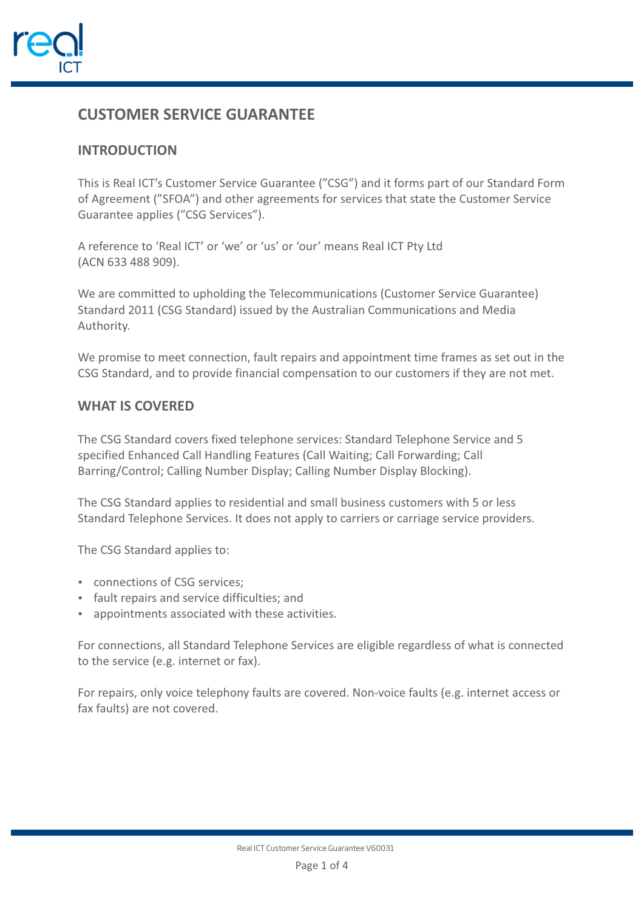

# **CUSTOMER SERVICE GUARANTEE**

# **INTRODUCTION**

This is Real ICT's Customer Service Guarantee ("CSG") and it forms part of our Standard Form of Agreement ("SFOA") and other agreements for services that state the Customer Service Guarantee applies ("CSG Services").

A reference to 'Real ICT' or 'we' or 'us' or 'our' means Real ICT Pty Ltd (ACN 633 488 909).

We are committed to upholding the Telecommunications (Customer Service Guarantee) Standard 2011 (CSG Standard) issued by the Australian Communications and Media Authority.

We promise to meet connection, fault repairs and appointment time frames as set out in the CSG Standard, and to provide financial compensation to our customers if they are not met.

# **WHAT IS COVERED**

The CSG Standard covers fixed telephone services: Standard Telephone Service and 5 specified Enhanced Call Handling Features (Call Waiting; Call Forwarding; Call Barring/Control; Calling Number Display; Calling Number Display Blocking).

The CSG Standard applies to residential and small business customers with 5 or less Standard Telephone Services. It does not apply to carriers or carriage service providers.

The CSG Standard applies to:

- connections of CSG services:
- fault repairs and service difficulties; and
- appointments associated with these activities.

For connections, all Standard Telephone Services are eligible regardless of what is connected to the service (e.g. internet or fax).

For repairs, only voice telephony faults are covered. Non-voice faults (e.g. internet access or fax faults) are not covered.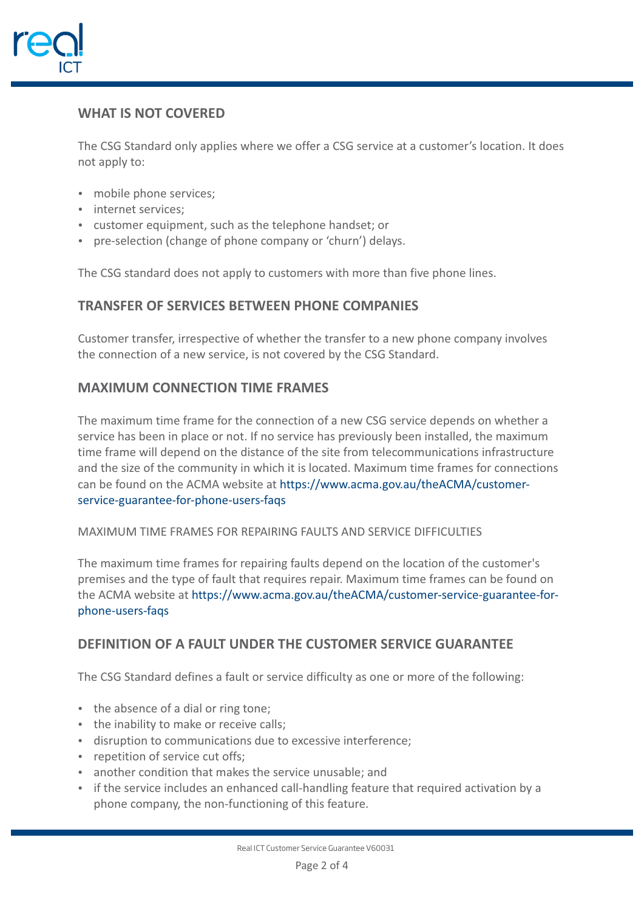

# **WHAT IS NOT COVERED**

The CSG Standard only applies where we offer a CSG service at a customer's location. It does not apply to:

- mobile phone services;
- internet services:
- customer equipment, such as the telephone handset; or
- pre-selection (change of phone company or 'churn') delays.

The CSG standard does not apply to customers with more than five phone lines.

#### **TRANSFER OF SERVICES BETWEEN PHONE COMPANIES**

Customer transfer, irrespective of whether the transfer to a new phone company involves the connection of a new service, is not covered by the CSG Standard.

#### **MAXIMUM CONNECTION TIME FRAMES**

The maximum time frame for the connection of a new CSG service depends on whether a service has been in place or not. If no service has previously been installed, the maximum time frame will depend on the distance of the site from telecommunications infrastructure and the size of the community in which it is located. Maximum time frames for connections can be found on the ACMA website at https://www.acma.gov.au/theACMA/customerservice-guarantee-for-phone-users-faqs

#### MAXIMUM TIME FRAMES FOR REPAIRING FAULTS AND SERVICE DIFFICULTIES

The maximum time frames for repairing faults depend on the location of the customer's premises and the type of fault that requires repair. Maximum time frames can be found on the ACMA website at https://www.acma.gov.au/theACMA/customer-service-guarantee-forphone-users-faqs

#### **DEFINITION OF A FAULT UNDER THE CUSTOMER SERVICE GUARANTEE**

The CSG Standard defines a fault or service difficulty as one or more of the following:

- the absence of a dial or ring tone;
- the inability to make or receive calls;
- disruption to communications due to excessive interference:
- repetition of service cut offs;
- another condition that makes the service unusable; and
- if the service includes an enhanced call-handling feature that required activation by a phone company, the non-functioning of this feature.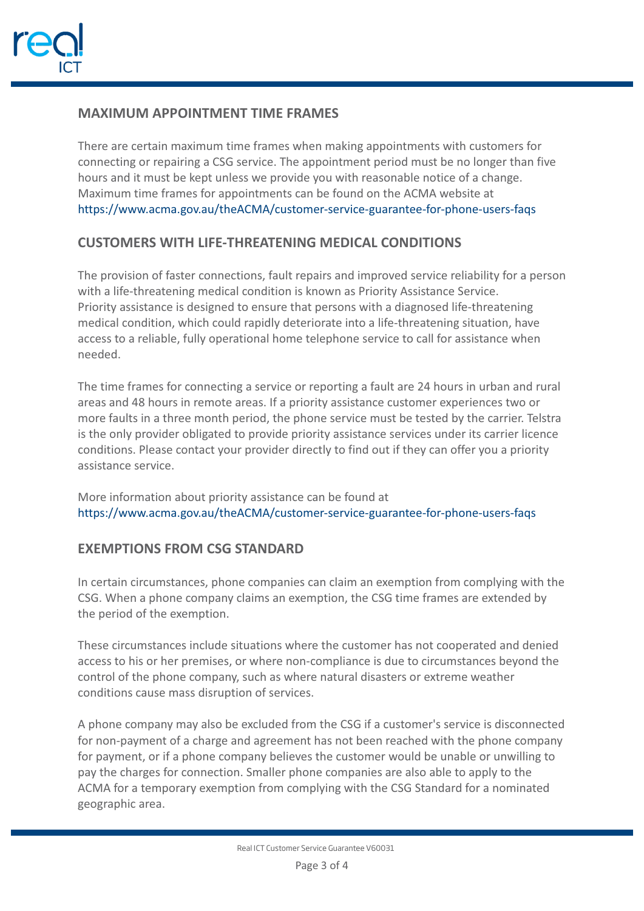

# **MAXIMUM APPOINTMENT TIME FRAMES**

There are certain maximum time frames when making appointments with customers for connecting or repairing a CSG service. The appointment period must be no longer than five hours and it must be kept unless we provide you with reasonable notice of a change. Maximum time frames for appointments can be found on the ACMA website at https://www.acma.gov.au/theACMA/customer-service-guarantee-for-phone-users-faqs

# **CUSTOMERS WITH LIFE-THREATENING MEDICAL CONDITIONS**

The provision of faster connections, fault repairs and improved service reliability for a person with a life-threatening medical condition is known as Priority Assistance Service. Priority assistance is designed to ensure that persons with a diagnosed life-threatening medical condition, which could rapidly deteriorate into a life-threatening situation, have access to a reliable, fully operational home telephone service to call for assistance when needed.

The time frames for connecting a service or reporting a fault are 24 hours in urban and rural areas and 48 hours in remote areas. If a priority assistance customer experiences two or more faults in a three month period, the phone service must be tested by the carrier. Telstra is the only provider obligated to provide priority assistance services under its carrier licence conditions. Please contact your provider directly to find out if they can offer you a priority assistance service.

More information about priority assistance can be found at https://www.acma.gov.au/theACMA/customer-service-guarantee-for-phone-users-faqs

# **EXEMPTIONS FROM CSG STANDARD**

In certain circumstances, phone companies can claim an exemption from complying with the CSG. When a phone company claims an exemption, the CSG time frames are extended by the period of the exemption.

These circumstances include situations where the customer has not cooperated and denied access to his or her premises, or where non-compliance is due to circumstances beyond the control of the phone company, such as where natural disasters or extreme weather conditions cause mass disruption of services.

A phone company may also be excluded from the CSG if a customer's service is disconnected for non-payment of a charge and agreement has not been reached with the phone company for payment, or if a phone company believes the customer would be unable or unwilling to pay the charges for connection. Smaller phone companies are also able to apply to the ACMA for a temporary exemption from complying with the CSG Standard for a nominated geographic area.